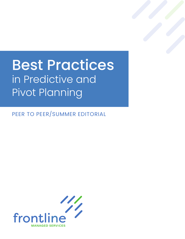## Best Practices in Predictive and Pivot Planning

PEER TO PEER/SUMMER EDITORIAL

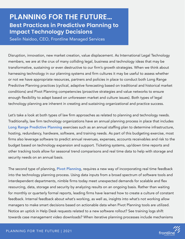## **PLANNING FOR THE FUTURE… Best Practices in Predictive Planning to Impact Technology Decisions**

Seelin Naidoo, CEO, Frontline Managed Services

Disruption, innovation, new market creation, value displacement. As International Legal Technology members, we are at the crux of many colliding legal, business and technology ideas that may be transformative, sustaining or even destructive to our firm's growth strategies. When we think about harnessing technology in our planning systems and firm cultures it may be useful to assess whether or not we have appropriate resources, partners and policies in place to conduct both Long Range Predictive Planning practices (cyclical, adaptive forecasting based on traditional and historical market conditions) and Pivot Planning competencies (proactive strategies and value networks to ensure enough flexibility to adapt based on unforeseen market and culture issues). Both types of legal technology planning are inherent in creating and sustaining organizational and practice success.

Let's take a look at both types of law firm approaches as related to planning and technology needs. Traditionally, law firm technology organizations have an annual planning process in place that includes Long Range Predictive Planning exercises such as an annual staffing plan to determine infrastructure, hosting, redundancy, hardware, software, and training needs. As part of this budgeting exercise, most firms also leverage software to predict annual revenues, expenses, accounts receivables and risk to the budget based on technology expansion and support. Ticketing systems, up/down time reports and other tracking tools allow for seasonal trend comparisons and real time data to help with storage and security needs on an annual basis.

The second type of planning, **Pivot Planning**, requires a new way of incorporating real time feedback into the technology planning process. Using data inputs from a broad spectrum of software tools and interdependent departments, nimble firms today meet unexpected demands for scalable and flex resourcing, data, storage and security by analyzing results on an ongoing basis. Rather than waiting for monthly or quarterly formal reports, leading firms have learned how to create a culture of constant feedback. Internal feedback about what's working, as well as, insights into what's not working allow managers to make smart decisions based on actionable data when Pivot Planning tools are utilized. Notice an uptick in Help Desk requests related to a new software rollout? See training logs shift towards case management video downloads? When iterative planning processes include mechanisms